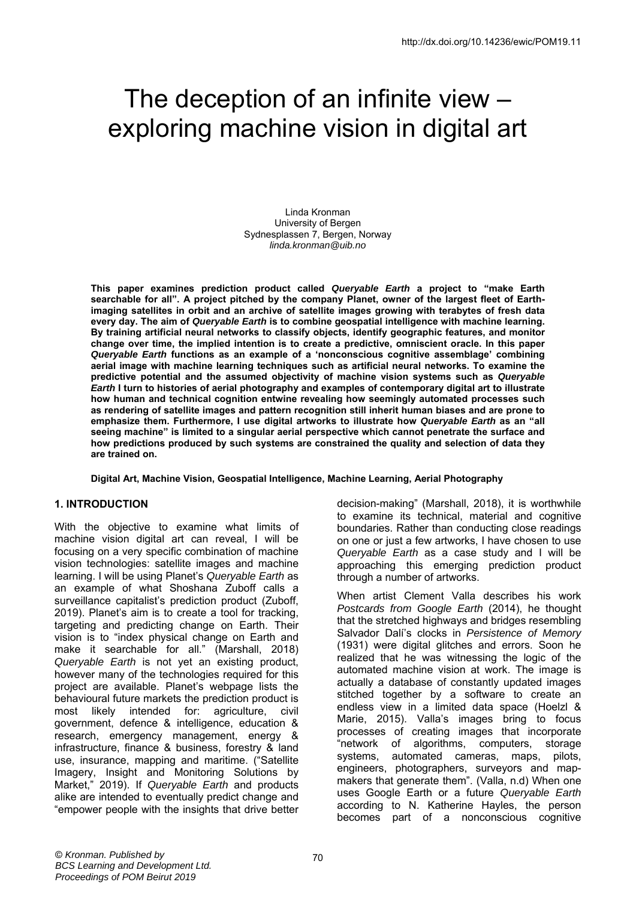# The deception of an infinite view – exploring machine vision in digital art

Linda Kronman University of Bergen Sydnesplassen 7, Bergen, Norway *linda.kronman@uib.no*

**This paper examines prediction product called** *Queryable Earth* **a project to "make Earth searchable for all". A project pitched by the company Planet, owner of the largest fleet of Earthimaging satellites in orbit and an archive of satellite images growing with terabytes of fresh data every day. The aim of** *Queryable Earth* **is to combine geospatial intelligence with machine learning. By training artificial neural networks to classify objects, identify geographic features, and monitor change over time, the implied intention is to create a predictive, omniscient oracle. In this paper**  *Queryable Earth* **functions as an example of a 'nonconscious cognitive assemblage' combining aerial image with machine learning techniques such as artificial neural networks. To examine the predictive potential and the assumed objectivity of machine vision systems such as** *Queryable Earth* **I turn to histories of aerial photography and examples of contemporary digital art to illustrate how human and technical cognition entwine revealing how seemingly automated processes such as rendering of satellite images and pattern recognition still inherit human biases and are prone to emphasize them. Furthermore, I use digital artworks to illustrate how** *Queryable Earth* **as an "all seeing machine" is limited to a singular aerial perspective which cannot penetrate the surface and how predictions produced by such systems are constrained the quality and selection of data they are trained on.** 

**Digital Art, Machine Vision, Geospatial Intelligence, Machine Learning, Aerial Photography** 

# **1. INTRODUCTION**

With the objective to examine what limits of machine vision digital art can reveal, I will be focusing on a very specific combination of machine vision technologies: satellite images and machine learning. I will be using Planet's *Queryable Earth* as an example of what Shoshana Zuboff calls a surveillance capitalist's prediction product (Zuboff, 2019). Planet's aim is to create a tool for tracking, targeting and predicting change on Earth. Their vision is to "index physical change on Earth and make it searchable for all." (Marshall, 2018) *Queryable Earth* is not yet an existing product, however many of the technologies required for this project are available. Planet's webpage lists the behavioural future markets the prediction product is most likely intended for: agriculture, civil government, defence & intelligence, education & research, emergency management, energy & infrastructure, finance & business, forestry & land use, insurance, mapping and maritime. ("Satellite Imagery, Insight and Monitoring Solutions by Market," 2019). If *Queryable Earth* and products alike are intended to eventually predict change and "empower people with the insights that drive better

decision-making" (Marshall, 2018), it is worthwhile to examine its technical, material and cognitive boundaries. Rather than conducting close readings on one or just a few artworks, I have chosen to use *Queryable Earth* as a case study and I will be approaching this emerging prediction product through a number of artworks.

When artist Clement Valla describes his work *Postcards from Google Earth* (2014), he thought that the stretched highways and bridges resembling Salvador Dalí's clocks in *Persistence of Memory* (1931) were digital glitches and errors. Soon he realized that he was witnessing the logic of the automated machine vision at work. The image is actually a database of constantly updated images stitched together by a software to create an endless view in a limited data space (Hoelzl & Marie, 2015). Valla's images bring to focus processes of creating images that incorporate "network of algorithms, computers, storage systems, automated cameras, maps, pilots, engineers, photographers, surveyors and mapmakers that generate them". (Valla, n.d) When one uses Google Earth or a future *Queryable Earth* according to N. Katherine Hayles, the person becomes part of a nonconscious cognitive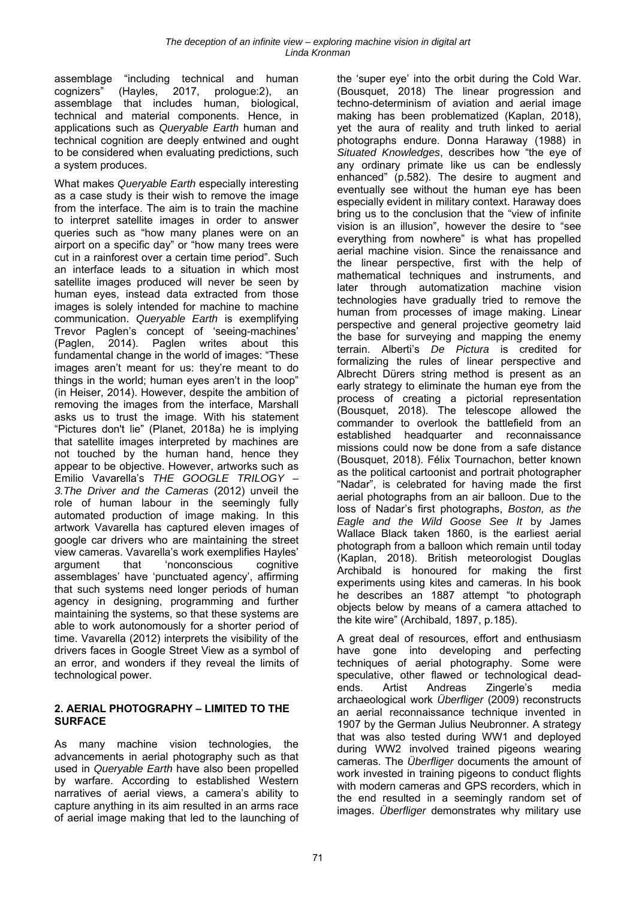assemblage "including technical and human cognizers" (Hayles, 2017, prologue:2), an assemblage that includes human, biological, technical and material components. Hence, in applications such as *Queryable Earth* human and technical cognition are deeply entwined and ought to be considered when evaluating predictions, such a system produces.

What makes *Queryable Earth* especially interesting as a case study is their wish to remove the image from the interface. The aim is to train the machine to interpret satellite images in order to answer queries such as "how many planes were on an airport on a specific day" or "how many trees were cut in a rainforest over a certain time period". Such an interface leads to a situation in which most satellite images produced will never be seen by human eyes, instead data extracted from those images is solely intended for machine to machine communication. *Queryable Earth* is exemplifying Trevor Paglen's concept of 'seeing-machines' (Paglen, 2014). Paglen writes about this fundamental change in the world of images: "These images aren't meant for us: they're meant to do things in the world; human eyes aren't in the loop" (in Heiser, 2014). However, despite the ambition of removing the images from the interface, Marshall asks us to trust the image. With his statement "Pictures don't lie" (Planet, 2018a) he is implying that satellite images interpreted by machines are not touched by the human hand, hence they appear to be objective. However, artworks such as Emilio Vavarella's *THE GOOGLE TRILOGY – 3.The Driver and the Cameras* (2012) unveil the role of human labour in the seemingly fully automated production of image making. In this artwork Vavarella has captured eleven images of google car drivers who are maintaining the street view cameras. Vavarella's work exemplifies Hayles' argument that 'nonconscious cognitive assemblages' have 'punctuated agency', affirming that such systems need longer periods of human agency in designing, programming and further maintaining the systems, so that these systems are able to work autonomously for a shorter period of time. Vavarella (2012) interprets the visibility of the drivers faces in Google Street View as a symbol of an error, and wonders if they reveal the limits of technological power.

# **2. AERIAL PHOTOGRAPHY – LIMITED TO THE SURFACE**

As many machine vision technologies, the advancements in aerial photography such as that used in *Queryable Earth* have also been propelled by warfare. According to established Western narratives of aerial views, a camera's ability to capture anything in its aim resulted in an arms race of aerial image making that led to the launching of the 'super eye' into the orbit during the Cold War. (Bousquet, 2018) The linear progression and techno-determinism of aviation and aerial image making has been problematized (Kaplan, 2018), yet the aura of reality and truth linked to aerial photographs endure. Donna Haraway (1988) in *Situated Knowledges*, describes how "the eye of any ordinary primate like us can be endlessly enhanced" (p.582). The desire to augment and eventually see without the human eye has been especially evident in military context. Haraway does bring us to the conclusion that the "view of infinite vision is an illusion", however the desire to "see everything from nowhere" is what has propelled aerial machine vision. Since the renaissance and the linear perspective, first with the help of mathematical techniques and instruments, and later through automatization machine vision technologies have gradually tried to remove the human from processes of image making. Linear perspective and general projective geometry laid the base for surveying and mapping the enemy terrain. Alberti's *De Pictura* is credited for formalizing the rules of linear perspective and Albrecht Dürers string method is present as an early strategy to eliminate the human eye from the process of creating a pictorial representation (Bousquet, 2018). The telescope allowed the commander to overlook the battlefield from an established headquarter and reconnaissance missions could now be done from a safe distance (Bousquet, 2018). Félix Tournachon, better known as the political cartoonist and portrait photographer "Nadar", is celebrated for having made the first aerial photographs from an air balloon. Due to the loss of Nadar's first photographs, *Boston, as the Eagle and the Wild Goose See It* by James Wallace Black taken 1860, is the earliest aerial photograph from a balloon which remain until today (Kaplan, 2018). British meteorologist Douglas Archibald is honoured for making the first experiments using kites and cameras. In his book he describes an 1887 attempt "to photograph objects below by means of a camera attached to the kite wire" (Archibald, 1897, p.185).

A great deal of resources, effort and enthusiasm have gone into developing and perfecting techniques of aerial photography. Some were speculative, other flawed or technological deadends. Artist Andreas Zingerle's media archaeological work *Überfliger* (2009) reconstructs an aerial reconnaissance technique invented in 1907 by the German Julius Neubronner. A strategy that was also tested during WW1 and deployed during WW2 involved trained pigeons wearing cameras. The *Überfliger* documents the amount of work invested in training pigeons to conduct flights with modern cameras and GPS recorders, which in the end resulted in a seemingly random set of images. *Überfliger* demonstrates why military use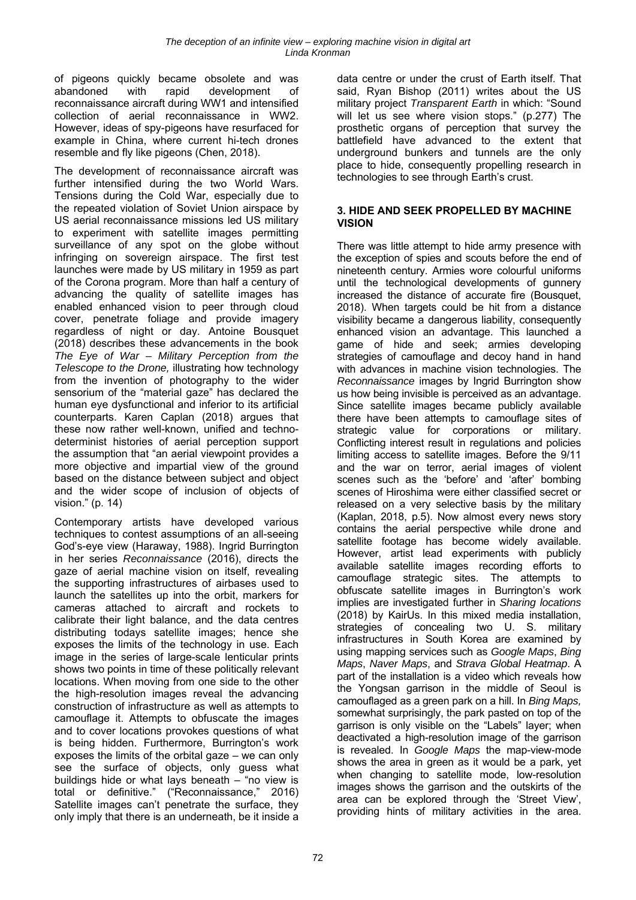of pigeons quickly became obsolete and was abandoned with rapid development of reconnaissance aircraft during WW1 and intensified collection of aerial reconnaissance in WW2. However, ideas of spy-pigeons have resurfaced for example in China, where current hi-tech drones resemble and fly like pigeons (Chen, 2018).

The development of reconnaissance aircraft was further intensified during the two World Wars. Tensions during the Cold War, especially due to the repeated violation of Soviet Union airspace by US aerial reconnaissance missions led US military to experiment with satellite images permitting surveillance of any spot on the globe without infringing on sovereign airspace. The first test launches were made by US military in 1959 as part of the Corona program. More than half a century of advancing the quality of satellite images has enabled enhanced vision to peer through cloud cover, penetrate foliage and provide imagery regardless of night or day. Antoine Bousquet (2018) describes these advancements in the book *The Eye of War – Military Perception from the Telescope to the Drone,* illustrating how technology from the invention of photography to the wider sensorium of the "material gaze" has declared the human eye dysfunctional and inferior to its artificial counterparts. Karen Caplan (2018) argues that these now rather well-known, unified and technodeterminist histories of aerial perception support the assumption that "an aerial viewpoint provides a more objective and impartial view of the ground based on the distance between subject and object and the wider scope of inclusion of objects of vision." (p. 14)

Contemporary artists have developed various techniques to contest assumptions of an all-seeing God's-eye view (Haraway, 1988). Ingrid Burrington in her series *Reconnaissance* (2016), directs the gaze of aerial machine vision on itself, revealing the supporting infrastructures of airbases used to launch the satellites up into the orbit, markers for cameras attached to aircraft and rockets to calibrate their light balance, and the data centres distributing todays satellite images; hence she exposes the limits of the technology in use. Each image in the series of large-scale lenticular prints shows two points in time of these politically relevant locations. When moving from one side to the other the high-resolution images reveal the advancing construction of infrastructure as well as attempts to camouflage it. Attempts to obfuscate the images and to cover locations provokes questions of what is being hidden. Furthermore, Burrington's work exposes the limits of the orbital gaze – we can only see the surface of objects, only guess what buildings hide or what lays beneath – "no view is total or definitive." ("Reconnaissance," 2016) Satellite images can't penetrate the surface, they only imply that there is an underneath, be it inside a data centre or under the crust of Earth itself. That said, Ryan Bishop (2011) writes about the US military project *Transparent Earth* in which: "Sound will let us see where vision stops." (p.277) The prosthetic organs of perception that survey the battlefield have advanced to the extent that underground bunkers and tunnels are the only place to hide, consequently propelling research in technologies to see through Earth's crust.

#### **3. HIDE AND SEEK PROPELLED BY MACHINE VISION**

There was little attempt to hide army presence with the exception of spies and scouts before the end of nineteenth century. Armies wore colourful uniforms until the technological developments of gunnery increased the distance of accurate fire (Bousquet, 2018). When targets could be hit from a distance visibility became a dangerous liability, consequently enhanced vision an advantage. This launched a game of hide and seek; armies developing strategies of camouflage and decoy hand in hand with advances in machine vision technologies. The *Reconnaissance* images by Ingrid Burrington show us how being invisible is perceived as an advantage. Since satellite images became publicly available there have been attempts to camouflage sites of strategic value for corporations or military. Conflicting interest result in regulations and policies limiting access to satellite images. Before the 9/11 and the war on terror, aerial images of violent scenes such as the 'before' and 'after' bombing scenes of Hiroshima were either classified secret or released on a very selective basis by the military (Kaplan, 2018, p.5). Now almost every news story contains the aerial perspective while drone and satellite footage has become widely available. However, artist lead experiments with publicly available satellite images recording efforts to camouflage strategic sites. The attempts to obfuscate satellite images in Burrington's work implies are investigated further in *Sharing locations* (2018) by KairUs. In this mixed media installation, strategies of concealing two U. S. military infrastructures in South Korea are examined by using mapping services such as *Google Maps*, *Bing Maps*, *Naver Maps*, and *Strava Global Heatmap*. A part of the installation is a video which reveals how the Yongsan garrison in the middle of Seoul is camouflaged as a green park on a hill. In *Bing Maps,* somewhat surprisingly, the park pasted on top of the garrison is only visible on the "Labels" layer; when deactivated a high-resolution image of the garrison is revealed. In *Google Maps* the map-view-mode shows the area in green as it would be a park, yet when changing to satellite mode, low-resolution images shows the garrison and the outskirts of the area can be explored through the 'Street View', providing hints of military activities in the area.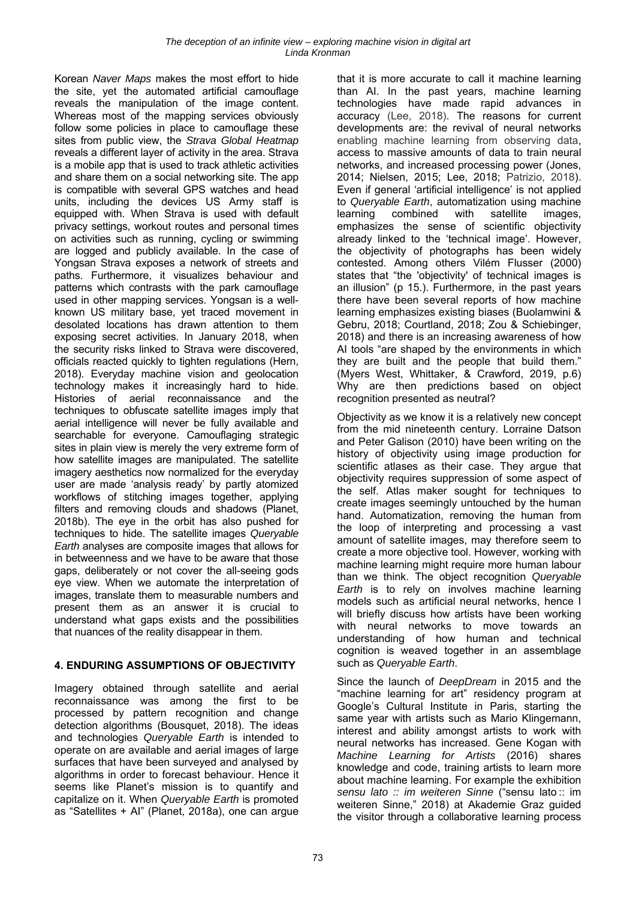Korean *Naver Maps* makes the most effort to hide the site, yet the automated artificial camouflage reveals the manipulation of the image content. Whereas most of the mapping services obviously follow some policies in place to camouflage these sites from public view, the *Strava Global Heatmap* reveals a different layer of activity in the area. Strava is a mobile app that is used to track athletic activities and share them on a social networking site. The app is compatible with several GPS watches and head units, including the devices US Army staff is equipped with. When Strava is used with default privacy settings, workout routes and personal times on activities such as running, cycling or swimming are logged and publicly available. In the case of Yongsan Strava exposes a network of streets and paths. Furthermore, it visualizes behaviour and patterns which contrasts with the park camouflage used in other mapping services. Yongsan is a wellknown US military base, yet traced movement in desolated locations has drawn attention to them exposing secret activities. In January 2018, when the security risks linked to Strava were discovered, officials reacted quickly to tighten regulations (Hern, 2018). Everyday machine vision and geolocation technology makes it increasingly hard to hide. Histories of aerial reconnaissance and the techniques to obfuscate satellite images imply that aerial intelligence will never be fully available and searchable for everyone. Camouflaging strategic sites in plain view is merely the very extreme form of how satellite images are manipulated. The satellite imagery aesthetics now normalized for the everyday user are made 'analysis ready' by partly atomized workflows of stitching images together, applying filters and removing clouds and shadows (Planet, 2018b). The eye in the orbit has also pushed for techniques to hide. The satellite images *Queryable Earth* analyses are composite images that allows for in betweenness and we have to be aware that those gaps, deliberately or not cover the all-seeing gods eye view. When we automate the interpretation of images, translate them to measurable numbers and present them as an answer it is crucial to understand what gaps exists and the possibilities that nuances of the reality disappear in them.

#### **4. ENDURING ASSUMPTIONS OF OBJECTIVITY**

Imagery obtained through satellite and aerial reconnaissance was among the first to be processed by pattern recognition and change detection algorithms (Bousquet, 2018). The ideas and technologies *Queryable Earth* is intended to operate on are available and aerial images of large surfaces that have been surveyed and analysed by algorithms in order to forecast behaviour. Hence it seems like Planet's mission is to quantify and capitalize on it. When *Queryable Earth* is promoted as "Satellites + AI" (Planet, 2018a), one can argue that it is more accurate to call it machine learning than AI. In the past years, machine learning technologies have made rapid advances in accuracy (Lee, 2018). The reasons for current developments are: the revival of neural networks enabling machine learning from observing data, access to massive amounts of data to train neural networks, and increased processing power (Jones, 2014; Nielsen, 2015; Lee, 2018; Patrizio, 2018). Even if general 'artificial intelligence' is not applied to *Queryable Earth*, automatization using machine learning combined with satellite images, emphasizes the sense of scientific objectivity already linked to the 'technical image'. However, the objectivity of photographs has been widely contested. Among others Vilém Flusser (2000) states that "the 'objectivity' of technical images is an illusion" (p 15.). Furthermore, in the past years there have been several reports of how machine learning emphasizes existing biases (Buolamwini & Gebru, 2018; Courtland, 2018; Zou & Schiebinger, 2018) and there is an increasing awareness of how AI tools "are shaped by the environments in which they are built and the people that build them." (Myers West, Whittaker, & Crawford, 2019, p.6) Why are then predictions based on object recognition presented as neutral?

Objectivity as we know it is a relatively new concept from the mid nineteenth century. Lorraine Datson and Peter Galison (2010) have been writing on the history of objectivity using image production for scientific atlases as their case. They argue that objectivity requires suppression of some aspect of the self. Atlas maker sought for techniques to create images seemingly untouched by the human hand. Automatization, removing the human from the loop of interpreting and processing a vast amount of satellite images, may therefore seem to create a more objective tool. However, working with machine learning might require more human labour than we think. The object recognition *Queryable Earth* is to rely on involves machine learning models such as artificial neural networks, hence I will briefly discuss how artists have been working with neural networks to move towards an understanding of how human and technical cognition is weaved together in an assemblage such as *Queryable Earth*.

Since the launch of *DeepDream* in 2015 and the "machine learning for art" residency program at Google's Cultural Institute in Paris, starting the same year with artists such as Mario Klingemann, interest and ability amongst artists to work with neural networks has increased. Gene Kogan with *Machine Learning for Artists* (2016) shares knowledge and code, training artists to learn more about machine learning. For example the exhibition *sensu lato :: im weiteren Sinne* ("sensu lato :: im weiteren Sinne," 2018) at Akademie Graz guided the visitor through a collaborative learning process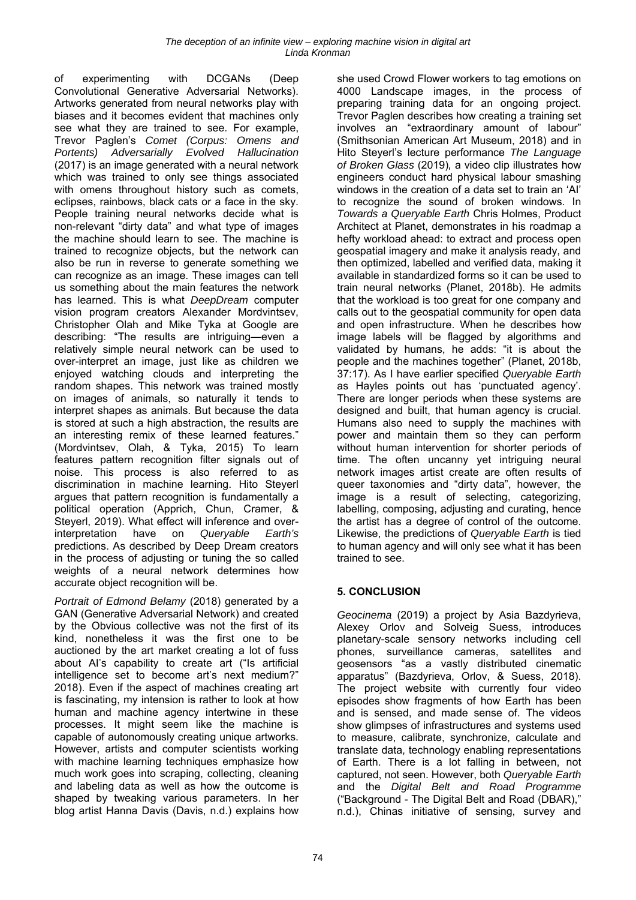of experimenting with DCGANs (Deep Convolutional Generative Adversarial Networks). Artworks generated from neural networks play with biases and it becomes evident that machines only see what they are trained to see. For example, Trevor Paglen's *Comet (Corpus: Omens and Portents) Adversarially Evolved Hallucination* (2017) is an image generated with a neural network which was trained to only see things associated with omens throughout history such as comets, eclipses, rainbows, black cats or a face in the sky. People training neural networks decide what is non-relevant "dirty data" and what type of images the machine should learn to see. The machine is trained to recognize objects, but the network can also be run in reverse to generate something we can recognize as an image. These images can tell us something about the main features the network has learned. This is what *DeepDream* computer vision program creators Alexander Mordvintsev, Christopher Olah and Mike Tyka at Google are describing: "The results are intriguing—even a relatively simple neural network can be used to over-interpret an image, just like as children we enjoyed watching clouds and interpreting the random shapes. This network was trained mostly on images of animals, so naturally it tends to interpret shapes as animals. But because the data is stored at such a high abstraction, the results are an interesting remix of these learned features." (Mordvintsev, Olah, & Tyka, 2015) To learn features pattern recognition filter signals out of noise. This process is also referred to as discrimination in machine learning. Hito Steyerl argues that pattern recognition is fundamentally a political operation (Apprich, Chun, Cramer, & Steyerl, 2019). What effect will inference and overinterpretation have on *Queryable Earth's*  predictions. As described by Deep Dream creators in the process of adjusting or tuning the so called weights of a neural network determines how accurate object recognition will be.

*Portrait of Edmond Belamy* (2018) generated by a GAN (Generative Adversarial Network) and created by the Obvious collective was not the first of its kind, nonetheless it was the first one to be auctioned by the art market creating a lot of fuss about AI's capability to create art ("Is artificial intelligence set to become art's next medium?" 2018). Even if the aspect of machines creating art is fascinating, my intension is rather to look at how human and machine agency intertwine in these processes. It might seem like the machine is capable of autonomously creating unique artworks. However, artists and computer scientists working with machine learning techniques emphasize how much work goes into scraping, collecting, cleaning and labeling data as well as how the outcome is shaped by tweaking various parameters. In her blog artist Hanna Davis (Davis, n.d.) explains how she used Crowd Flower workers to tag emotions on 4000 Landscape images, in the process of preparing training data for an ongoing project. Trevor Paglen describes how creating a training set involves an "extraordinary amount of labour" (Smithsonian American Art Museum, 2018) and in Hito Steyerl's lecture performance *The Language of Broken Glass* (2019)*,* a video clip illustrates how engineers conduct hard physical labour smashing windows in the creation of a data set to train an 'AI' to recognize the sound of broken windows. In *Towards a Queryable Earth* Chris Holmes, Product Architect at Planet, demonstrates in his roadmap a hefty workload ahead: to extract and process open geospatial imagery and make it analysis ready, and then optimized, labelled and verified data, making it available in standardized forms so it can be used to train neural networks (Planet, 2018b). He admits that the workload is too great for one company and calls out to the geospatial community for open data and open infrastructure. When he describes how image labels will be flagged by algorithms and validated by humans, he adds: "it is about the people and the machines together" (Planet, 2018b, 37:17). As I have earlier specified *Queryable Earth*  as Hayles points out has 'punctuated agency'. There are longer periods when these systems are designed and built, that human agency is crucial. Humans also need to supply the machines with power and maintain them so they can perform without human intervention for shorter periods of time. The often uncanny yet intriguing neural network images artist create are often results of queer taxonomies and "dirty data", however, the image is a result of selecting, categorizing, labelling, composing, adjusting and curating, hence the artist has a degree of control of the outcome. Likewise, the predictions of *Queryable Earth* is tied to human agency and will only see what it has been trained to see.

# **5. CONCLUSION**

*Geocinema* (2019) a project by Asia Bazdyrieva, Alexey Orlov and Solveig Suess, introduces planetary-scale sensory networks including cell phones, surveillance cameras, satellites and geosensors "as a vastly distributed cinematic apparatus" (Bazdyrieva, Orlov, & Suess, 2018). The project website with currently four video episodes show fragments of how Earth has been and is sensed, and made sense of. The videos show glimpses of infrastructures and systems used to measure, calibrate, synchronize, calculate and translate data, technology enabling representations of Earth. There is a lot falling in between, not captured, not seen. However, both *Queryable Earth*  and the *Digital Belt and Road Programme* ("Background - The Digital Belt and Road (DBAR)," n.d.), Chinas initiative of sensing, survey and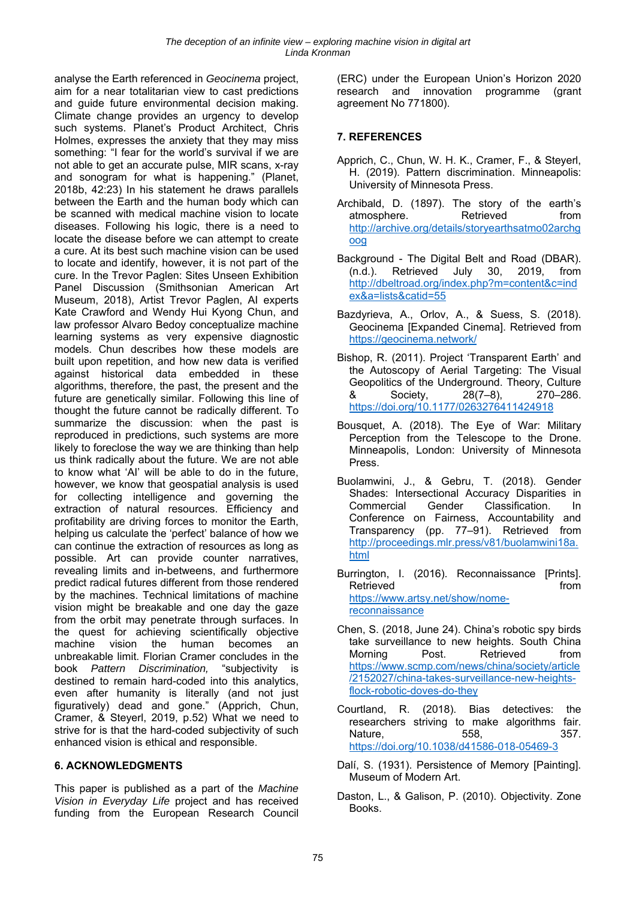analyse the Earth referenced in *Geocinema* project, aim for a near totalitarian view to cast predictions and guide future environmental decision making. Climate change provides an urgency to develop such systems. Planet's Product Architect, Chris Holmes, expresses the anxiety that they may miss something: "I fear for the world's survival if we are not able to get an accurate pulse, MIR scans, x-ray and sonogram for what is happening." (Planet, 2018b, 42:23) In his statement he draws parallels between the Earth and the human body which can be scanned with medical machine vision to locate diseases. Following his logic, there is a need to locate the disease before we can attempt to create a cure. At its best such machine vision can be used to locate and identify, however, it is not part of the cure. In the Trevor Paglen: Sites Unseen Exhibition Panel Discussion (Smithsonian American Art Museum, 2018), Artist Trevor Paglen, AI experts Kate Crawford and Wendy Hui Kyong Chun, and law professor Alvaro Bedoy conceptualize machine learning systems as very expensive diagnostic models. Chun describes how these models are built upon repetition, and how new data is verified against historical data embedded in these algorithms, therefore, the past, the present and the future are genetically similar. Following this line of thought the future cannot be radically different. To summarize the discussion: when the past is reproduced in predictions, such systems are more likely to foreclose the way we are thinking than help us think radically about the future. We are not able to know what 'AI' will be able to do in the future, however, we know that geospatial analysis is used for collecting intelligence and governing the extraction of natural resources. Efficiency and profitability are driving forces to monitor the Earth, helping us calculate the 'perfect' balance of how we can continue the extraction of resources as long as possible. Art can provide counter narratives, revealing limits and in-betweens, and furthermore predict radical futures different from those rendered by the machines. Technical limitations of machine vision might be breakable and one day the gaze from the orbit may penetrate through surfaces. In the quest for achieving scientifically objective machine vision the human becomes an unbreakable limit. Florian Cramer concludes in the book *Pattern Discrimination,* "subjectivity is destined to remain hard-coded into this analytics, even after humanity is literally (and not just figuratively) dead and gone." (Apprich, Chun, Cramer, & Steyerl, 2019, p.52) What we need to strive for is that the hard-coded subjectivity of such enhanced vision is ethical and responsible.

#### **6. ACKNOWLEDGMENTS**

This paper is published as a part of the *Machine Vision in Everyday Life* project and has received funding from the European Research Council (ERC) under the European Union's Horizon 2020 research and innovation programme (grant agreement No 771800).

# **7. REFERENCES**

- Apprich, C., Chun, W. H. K., Cramer, F., & Steyerl, H. (2019). Pattern discrimination. Minneapolis: University of Minnesota Press.
- Archibald, D. (1897). The story of the earth's atmosphere. Retrieved from http://archive.org/details/storyearthsatmo02archg oog
- Background The Digital Belt and Road (DBAR). (n.d.). Retrieved July 30, 2019, from http://dbeltroad.org/index.php?m=content&c=ind ex&a=lists&catid=55
- Bazdyrieva, A., Orlov, A., & Suess, S. (2018). Geocinema [Expanded Cinema]. Retrieved from https://geocinema.network/
- Bishop, R. (2011). Project 'Transparent Earth' and the Autoscopy of Aerial Targeting: The Visual Geopolitics of the Underground. Theory, Culture & Society, 28(7–8), 270–286. https://doi.org/10.1177/0263276411424918
- Bousquet, A. (2018). The Eye of War: Military Perception from the Telescope to the Drone. Minneapolis, London: University of Minnesota Press.
- Buolamwini, J., & Gebru, T. (2018). Gender Shades: Intersectional Accuracy Disparities in Commercial Gender Classification. In Conference on Fairness, Accountability and Transparency (pp. 77–91). Retrieved from http://proceedings.mlr.press/v81/buolamwini18a. html
- Burrington, I. (2016). Reconnaissance [Prints]. Retrieved **from** https://www.artsy.net/show/nomereconnaissance
- Chen, S. (2018, June 24). China's robotic spy birds take surveillance to new heights. South China Morning Post. Retrieved from https://www.scmp.com/news/china/society/article /2152027/china-takes-surveillance-new-heightsflock-robotic-doves-do-they
- Courtland, R. (2018). Bias detectives: the researchers striving to make algorithms fair. Nature, 558, 357. https://doi.org/10.1038/d41586-018-05469-3
- Dalí, S. (1931). Persistence of Memory [Painting]. Museum of Modern Art.
- Daston, L., & Galison, P. (2010). Objectivity. Zone Books.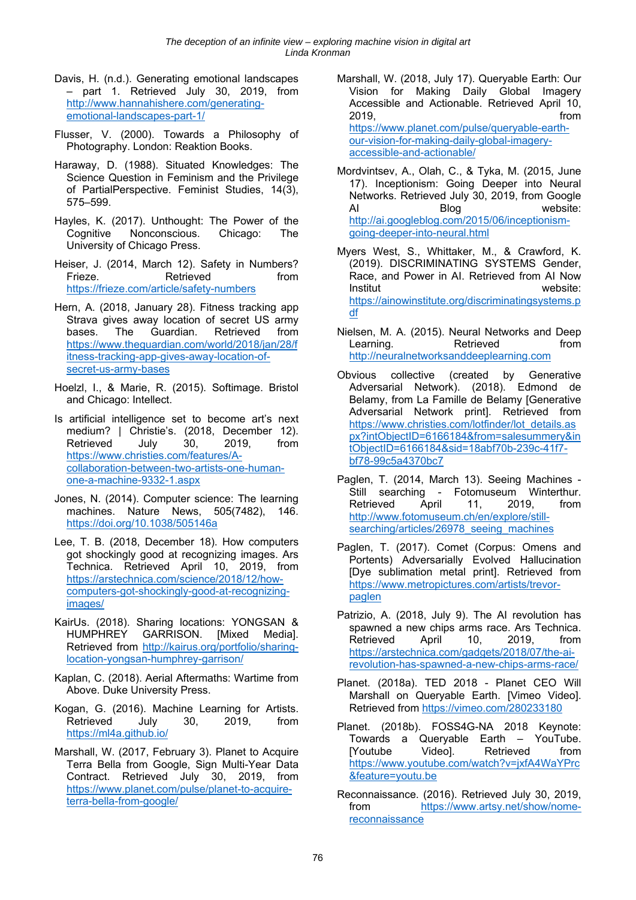- Davis, H. (n.d.). Generating emotional landscapes – part 1. Retrieved July 30, 2019, from http://www.hannahishere.com/generatingemotional-landscapes-part-1/
- Flusser, V. (2000). Towards a Philosophy of Photography. London: Reaktion Books.
- Haraway, D. (1988). Situated Knowledges: The Science Question in Feminism and the Privilege of PartialPerspective. Feminist Studies, 14(3), 575–599.
- Hayles, K. (2017). Unthought: The Power of the Cognitive Nonconscious. Chicago: The University of Chicago Press.
- Heiser, J. (2014, March 12). Safety in Numbers? Frieze. Retrieved from https://frieze.com/article/safety-numbers
- Hern, A. (2018, January 28). Fitness tracking app Strava gives away location of secret US army bases. The Guardian. Retrieved from https://www.theguardian.com/world/2018/jan/28/f itness-tracking-app-gives-away-location-ofsecret-us-army-bases
- Hoelzl, I., & Marie, R. (2015). Softimage. Bristol and Chicago: Intellect.
- Is artificial intelligence set to become art's next medium? | Christie's. (2018, December 12). Retrieved July 30, 2019, from https://www.christies.com/features/Acollaboration-between-two-artists-one-humanone-a-machine-9332-1.aspx
- Jones, N. (2014). Computer science: The learning machines. Nature News, 505(7482), 146. https://doi.org/10.1038/505146a
- Lee, T. B. (2018, December 18). How computers got shockingly good at recognizing images. Ars Technica. Retrieved April 10, 2019, from https://arstechnica.com/science/2018/12/howcomputers-got-shockingly-good-at-recognizingimages/
- KairUs. (2018). Sharing locations: YONGSAN & HUMPHREY GARRISON. [Mixed Media]. Retrieved from http://kairus.org/portfolio/sharinglocation-yongsan-humphrey-garrison/
- Kaplan, C. (2018). Aerial Aftermaths: Wartime from Above. Duke University Press.
- Kogan, G. (2016). Machine Learning for Artists. Retrieved July 30, 2019, from https://ml4a.github.io/
- Marshall, W. (2017, February 3). Planet to Acquire Terra Bella from Google, Sign Multi-Year Data Contract. Retrieved July 30, 2019, from https://www.planet.com/pulse/planet-to-acquireterra-bella-from-google/
- Marshall, W. (2018, July 17). Queryable Earth: Our Vision for Making Daily Global Imagery Accessible and Actionable. Retrieved April 10, 2019, from https://www.planet.com/pulse/queryable-earthour-vision-for-making-daily-global-imageryaccessible-and-actionable/
- Mordvintsev, A., Olah, C., & Tyka, M. (2015, June 17). Inceptionism: Going Deeper into Neural Networks. Retrieved July 30, 2019, from Google AI Blog website: http://ai.googleblog.com/2015/06/inceptionismgoing-deeper-into-neural.html
- Myers West, S., Whittaker, M., & Crawford, K. (2019). DISCRIMINATING SYSTEMS Gender, Race, and Power in AI. Retrieved from AI Now Institut website: https://ainowinstitute.org/discriminatingsystems.p df
- Nielsen, M. A. (2015). Neural Networks and Deep Learning. Retrieved from http://neuralnetworksanddeeplearning.com
- Obvious collective (created by Generative Adversarial Network). (2018). Edmond de Belamy, from La Famille de Belamy [Generative Adversarial Network print]. Retrieved from https://www.christies.com/lotfinder/lot\_details.as px?intObjectID=6166184&from=salesummery&in tObjectID=6166184&sid=18abf70b-239c-41f7 bf78-99c5a4370bc7
- Paglen, T. (2014, March 13). Seeing Machines Still searching - Fotomuseum Winterthur. Retrieved April 11, 2019, from http://www.fotomuseum.ch/en/explore/stillsearching/articles/26978\_seeing\_machines
- Paglen, T. (2017). Comet (Corpus: Omens and Portents) Adversarially Evolved Hallucination [Dye sublimation metal print]. Retrieved from https://www.metropictures.com/artists/trevorpaglen
- Patrizio, A. (2018, July 9). The AI revolution has spawned a new chips arms race. Ars Technica. Retrieved April 10, 2019, from https://arstechnica.com/gadgets/2018/07/the-airevolution-has-spawned-a-new-chips-arms-race/
- Planet. (2018a). TED 2018 Planet CEO Will Marshall on Queryable Earth. [Vimeo Video]. Retrieved from https://vimeo.com/280233180
- Planet. (2018b). FOSS4G-NA 2018 Keynote: Towards a Queryable Earth – YouTube. [Youtube Video]. Retrieved from https://www.youtube.com/watch?v=jxfA4WaYPrc &feature=youtu.be
- Reconnaissance. (2016). Retrieved July 30, 2019, from https://www.artsy.net/show/nomereconnaissance